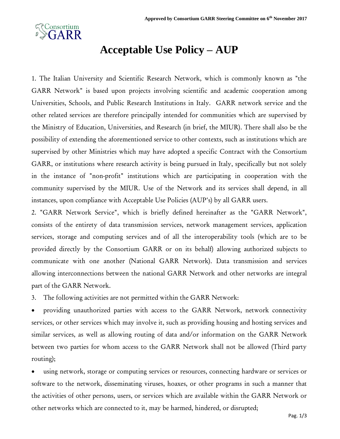

## **Acceptable Use Policy – AUP**

1. The Italian University and Scientific Research Network, which is commonly known as "the GARR Network" is based upon projects involving scientific and academic cooperation among Universities, Schools, and Public Research Institutions in Italy. GARR network service and the other related services are therefore principally intended for communities which are supervised by the Ministry of Education, Universities, and Research (in brief, the MIUR). There shall also be the possibility of extending the aforementioned service to other contexts, such as institutions which are supervised by other Ministries which may have adopted a specific Contract with the Consortium GARR, or institutions where research activity is being pursued in Italy, specifically but not solely in the instance of "non-profit" institutions which are participating in cooperation with the community supervised by the MIUR. Use of the Network and its services shall depend, in all instances, upon compliance with Acceptable Use Policies (AUP's) by all GARR users.

2. "GARR Network Service", which is briefly defined hereinafter as the "GARR Network", consists of the entirety of data transmission services, network management services, application services, storage and computing services and of all the interoperability tools (which are to be provided directly by the Consortium GARR or on its behalf) allowing authorized subjects to communicate with one another (National GARR Network). Data transmission and services allowing interconnections between the national GARR Network and other networks are integral part of the GARR Network.

3. The following activities are not permitted within the GARR Network:

 providing unauthorized parties with access to the GARR Network, network connectivity services, or other services which may involve it, such as providing housing and hosting services and similar services, as well as allowing routing of data and/or information on the GARR Network between two parties for whom access to the GARR Network shall not be allowed (Third party routing);

 using network, storage or computing services or resources, connecting hardware or services or software to the network, disseminating viruses, hoaxes, or other programs in such a manner that the activities of other persons, users, or services which are available within the GARR Network or other networks which are connected to it, may be harmed, hindered, or disrupted;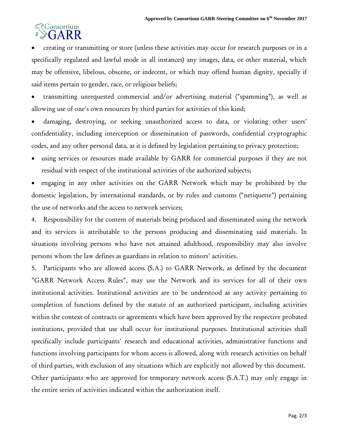## **Consortium**  $\hat{A}$  R R

 creating or transmitting or store (unless these activities may occur for research purposes or in a specifically regulated and lawful mode in all instances) any images, data, or other material, which may be offensive, libelous, obscene, or indecent, or which may offend human dignity, specially if said items pertain to gender, race, or religious beliefs;

 transmitting unrequested commercial and/or advertising material ("spamming"), as well as allowing use of one's own resources by third parties for activities of this kind;

 damaging, destroying, or seeking unauthorized access to data, or violating other users' confidentiality, including interception or dissemination of passwords, confidential cryptographic codes, and any other personal data, as it is defined by legislation pertaining to privacy protection;

 using services or resources made available by GARR for commercial purposes if they are not residual with respect of the institutional activities of the authorized subjects;

 engaging in any other activities on the GARR Network which may be prohibited by the domestic legislation, by international standards, or by rules and customs ("netiquette") pertaining the use of networks and the access to network services;

4. Responsibility for the content of materials being produced and disseminated using the network and its services is attributable to the persons producing and disseminating said materials. In situations involving persons who have not attained adulthood, responsibility may also involve persons whom the law defines as guardians in relation to minors' activities.

5. Participants who are allowed access (S.A.) to GARR Network, as defined by the document "GARR Network Access Rules", may use the Network and its services for all of their own institutional activities. Institutional activities are to be understood as any activity pertaining to completion of functions defined by the statute of an authorized participant, including activities within the context of contracts or agreements which have been approved by the respective probated institutions, provided that use shall occur for institutional purposes. Institutional activities shall specifically include participants' research and educational activities, administrative functions and functions involving participants for whom access is allowed, along with research activities on behalf of third parties, with exclusion of any situations which are explicitly not allowed by this document. Other participants who are approved for temporary network access (S.A.T.) may only engage in the entire series of activities indicated within the authorization itself.